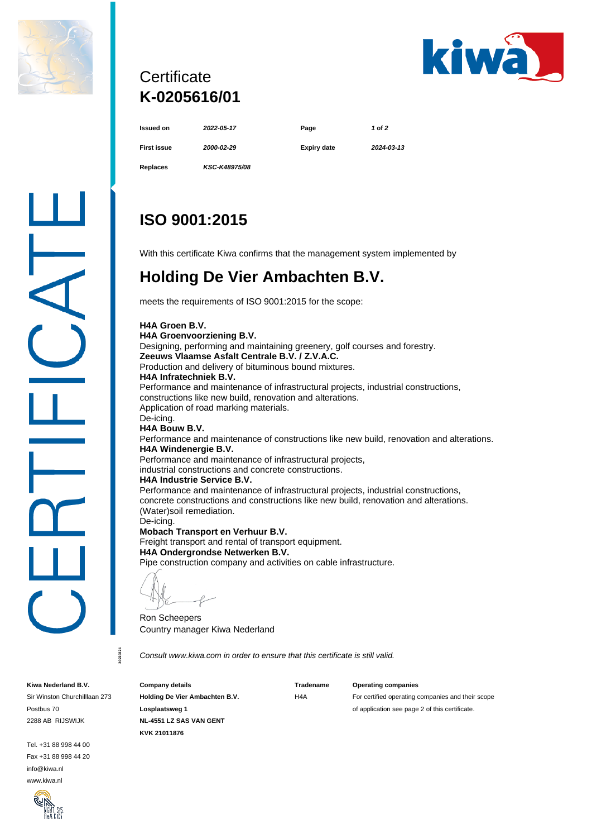



## **Certificate K-0205616/01**

| Issued on          | 2022-05-17    | Page        | 1 of 2     |
|--------------------|---------------|-------------|------------|
| <b>First issue</b> | 2000-02-29    | Expiry date | 2024-03-13 |
| Replaces           | KSC-K48975/08 |             |            |

# **ISO 9001:2015**

With this certificate Kiwa confirms that the management system implemented by

### **Holding De Vier Ambachten B.V.**

meets the requirements of ISO 9001:2015 for the scope:

**H4A Groen B.V. H4A Groenvoorziening B.V.** Designing, performing and maintaining greenery, golf courses and forestry. **Zeeuws Vlaamse Asfalt Centrale B.V. / Z.V.A.C.** Production and delivery of bituminous bound mixtures. **H4A Infratechniek B.V.** Performance and maintenance of infrastructural projects, industrial constructions, constructions like new build, renovation and alterations. Application of road marking materials. De-icing. **H4A Bouw B.V.** Performance and maintenance of constructions like new build, renovation and alterations. **H4A Windenergie B.V.** Performance and maintenance of infrastructural projects, industrial constructions and concrete constructions. **H4A Industrie Service B.V.** Performance and maintenance of infrastructural projects, industrial constructions, concrete constructions and constructions like new build, renovation and alterations. (Water)soil remediation. De-icing. **Mobach Transport en Verhuur B.V.**

Freight transport and rental of transport equipment. **H4A Ondergrondse Netwerken B.V.** Pipe construction company and activities on cable infrastructure.

Ron Scheepers Country manager Kiwa Nederland

*Consult www.kiwa.com in order to ensure that this certificate is still valid.*

**Kiwa Nederland B.V.**

Sir Winston Churchilllaan 273 Postbus 70 2288 AB RIJSWIJK

**20220221**

0220221

Tel. +31 88 998 44 00 Fax +31 88 998 44 20 info@kiwa.nl www.kiwa.nl



**Company details Holding De Vier Ambachten B.V. Losplaatsweg 1 NL-4551 LZ SAS VAN GENT KVK 21011876**

**Tradename**  $HA\Delta$ 

#### **Operating companies**

For certified operating companies and their scope of application see page 2 of this certificate.